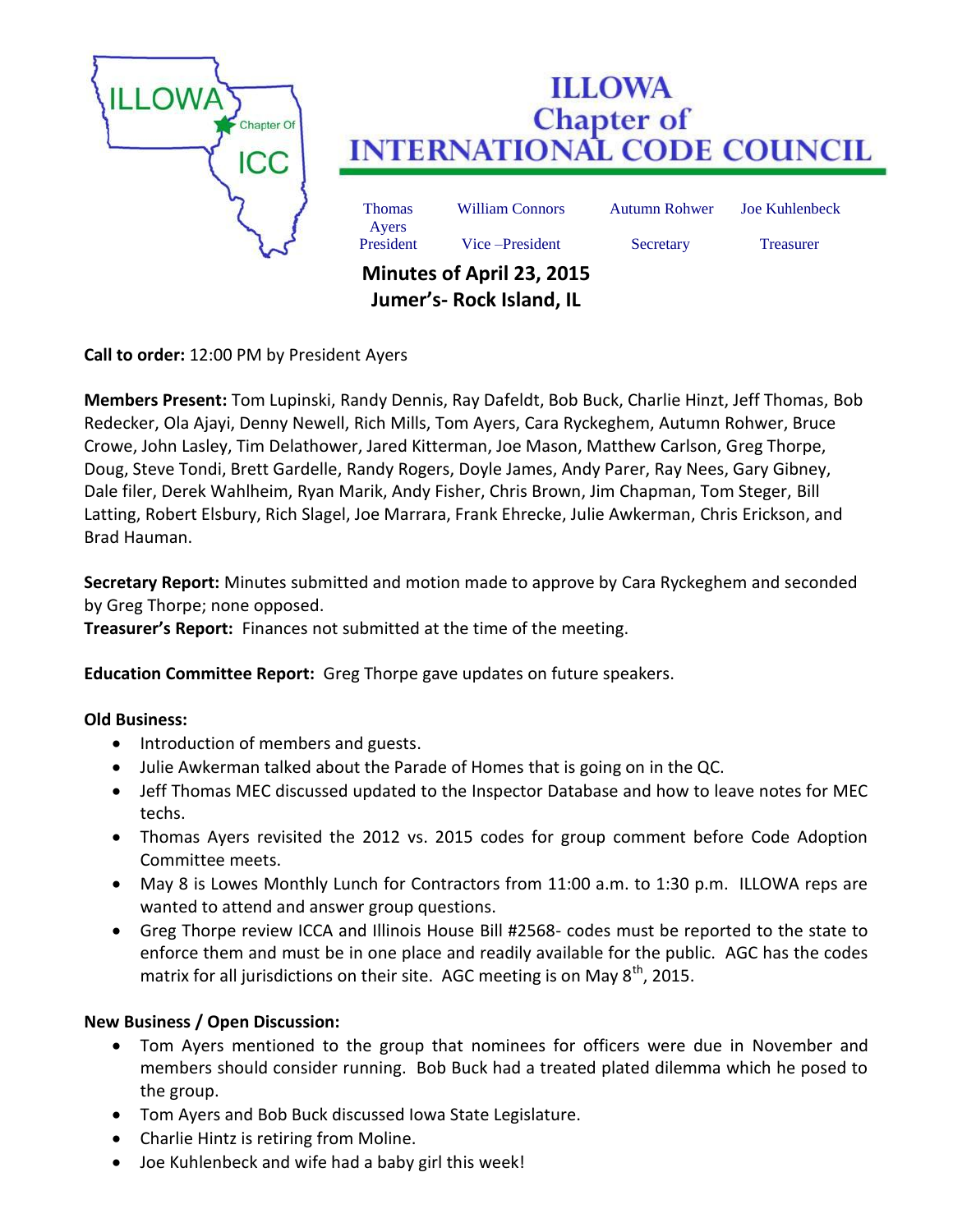

**Call to order:** 12:00 PM by President Ayers

**Members Present:** Tom Lupinski, Randy Dennis, Ray Dafeldt, Bob Buck, Charlie Hinzt, Jeff Thomas, Bob Redecker, Ola Ajayi, Denny Newell, Rich Mills, Tom Ayers, Cara Ryckeghem, Autumn Rohwer, Bruce Crowe, John Lasley, Tim Delathower, Jared Kitterman, Joe Mason, Matthew Carlson, Greg Thorpe, Doug, Steve Tondi, Brett Gardelle, Randy Rogers, Doyle James, Andy Parer, Ray Nees, Gary Gibney, Dale filer, Derek Wahlheim, Ryan Marik, Andy Fisher, Chris Brown, Jim Chapman, Tom Steger, Bill Latting, Robert Elsbury, Rich Slagel, Joe Marrara, Frank Ehrecke, Julie Awkerman, Chris Erickson, and Brad Hauman.

**Secretary Report:** Minutes submitted and motion made to approve by Cara Ryckeghem and seconded by Greg Thorpe; none opposed.

**Treasurer's Report:** Finances not submitted at the time of the meeting.

**Education Committee Report:** Greg Thorpe gave updates on future speakers.

## **Old Business:**

- Introduction of members and guests.
- Julie Awkerman talked about the Parade of Homes that is going on in the QC.
- Jeff Thomas MEC discussed updated to the Inspector Database and how to leave notes for MEC techs.
- Thomas Ayers revisited the 2012 vs. 2015 codes for group comment before Code Adoption Committee meets.
- May 8 is Lowes Monthly Lunch for Contractors from 11:00 a.m. to 1:30 p.m. ILLOWA reps are wanted to attend and answer group questions.
- Greg Thorpe review ICCA and Illinois House Bill #2568- codes must be reported to the state to enforce them and must be in one place and readily available for the public. AGC has the codes matrix for all jurisdictions on their site. AGC meeting is on May  $8^{th}$ , 2015.

## **New Business / Open Discussion:**

- Tom Ayers mentioned to the group that nominees for officers were due in November and members should consider running. Bob Buck had a treated plated dilemma which he posed to the group.
- Tom Ayers and Bob Buck discussed Iowa State Legislature.
- Charlie Hintz is retiring from Moline.
- Joe Kuhlenbeck and wife had a baby girl this week!